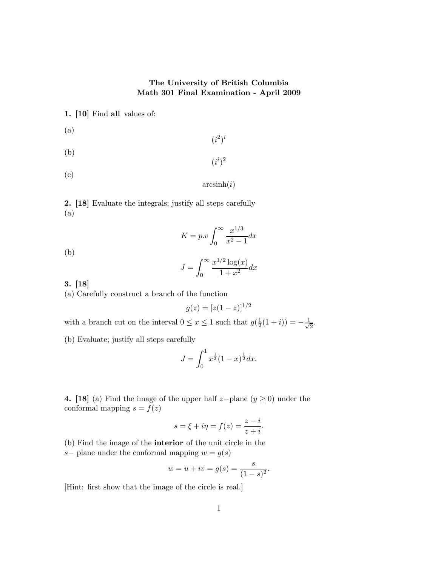## The University of British Columbia Math 301 Final Examination - April 2009

1. [10] Find all values of:

- (a)  $(i^2)^i$
- (b)  $(i^i)^2$
- (c)

# $arcsinh(i)$

2. [18] Evaluate the integrals; justify all steps carefully (a)

#### $K = p.v \int_{0}^{\infty}$  $\mathbf{0}$  $x^{1/3}$  $\frac{x}{x^2-1}dx$

(b)

$$
J = \int_0^\infty \frac{x^{1/2} \log(x)}{1 + x^2} dx
$$

3. [18]

(a) Carefully construct a branch of the function

$$
g(z) = [z(1-z)]^{1/2}
$$

with a branch cut on the interval  $0 \le x \le 1$  such that  $g(\frac{1}{2}(1+i)) = -\frac{1}{\sqrt{2}}$ .

(b) Evaluate; justify all steps carefully

$$
J = \int_0^1 x^{\frac{1}{2}} (1-x)^{\frac{1}{2}} dx.
$$

4. [18] (a) Find the image of the upper half z−plane ( $y \ge 0$ ) under the conformal mapping  $s = f(z)$ 

$$
s = \xi + i\eta = f(z) = \frac{z - i}{z + i}.
$$

(b) Find the image of the interior of the unit circle in the s– plane under the conformal mapping  $w = g(s)$ 

$$
w = u + iv = g(s) = \frac{s}{(1 - s)^2}.
$$

[Hint: first show that the image of the circle is real.]